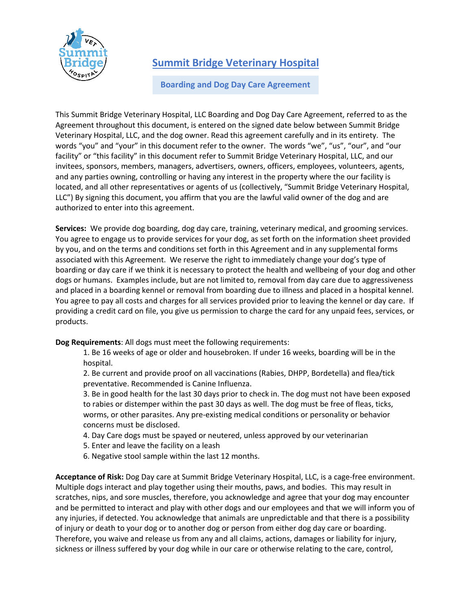

## **Summit Bridge Veterinary Hospital**

## **Boarding and Dog Day Care Agreement**

This Summit Bridge Veterinary Hospital, LLC Boarding and Dog Day Care Agreement, referred to as the Agreement throughout this document, is entered on the signed date below between Summit Bridge Veterinary Hospital, LLC, and the dog owner. Read this agreement carefully and in its entirety. The words "you" and "your" in this document refer to the owner. The words "we", "us", "our", and "our facility" or "this facility" in this document refer to Summit Bridge Veterinary Hospital, LLC, and our invitees, sponsors, members, managers, advertisers, owners, officers, employees, volunteers, agents, and any parties owning, controlling or having any interest in the property where the our facility is located, and all other representatives or agents of us (collectively, "Summit Bridge Veterinary Hospital, LLC") By signing this document, you affirm that you are the lawful valid owner of the dog and are authorized to enter into this agreement.

**Services:** We provide dog boarding, dog day care, training, veterinary medical, and grooming services. You agree to engage us to provide services for your dog, as set forth on the information sheet provided by you, and on the terms and conditions set forth in this Agreement and in any supplemental forms associated with this Agreement. We reserve the right to immediately change your dog's type of boarding or day care if we think it is necessary to protect the health and wellbeing of your dog and other dogs or humans. Examples include, but are not limited to, removal from day care due to aggressiveness and placed in a boarding kennel or removal from boarding due to illness and placed in a hospital kennel. You agree to pay all costs and charges for all services provided prior to leaving the kennel or day care. If providing a credit card on file, you give us permission to charge the card for any unpaid fees, services, or products.

**Dog Requirements**: All dogs must meet the following requirements:

- 1. Be 16 weeks of age or older and housebroken. If under 16 weeks, boarding will be in the hospital.
- 2. Be current and provide proof on all vaccinations (Rabies, DHPP, Bordetella) and flea/tick preventative. Recommended is Canine Influenza.
- 3. Be in good health for the last 30 days prior to check in. The dog must not have been exposed to rabies or distemper within the past 30 days as well. The dog must be free of fleas, ticks, worms, or other parasites. Any pre-existing medical conditions or personality or behavior concerns must be disclosed.
- 4. Day Care dogs must be spayed or neutered, unless approved by our veterinarian
- 5. Enter and leave the facility on a leash
- 6. Negative stool sample within the last 12 months.

**Acceptance of Risk:** Dog Day care at Summit Bridge Veterinary Hospital, LLC, is a cage-free environment. Multiple dogs interact and play together using their mouths, paws, and bodies. This may result in scratches, nips, and sore muscles, therefore, you acknowledge and agree that your dog may encounter and be permitted to interact and play with other dogs and our employees and that we will inform you of any injuries, if detected. You acknowledge that animals are unpredictable and that there is a possibility of injury or death to your dog or to another dog or person from either dog day care or boarding. Therefore, you waive and release us from any and all claims, actions, damages or liability for injury, sickness or illness suffered by your dog while in our care or otherwise relating to the care, control,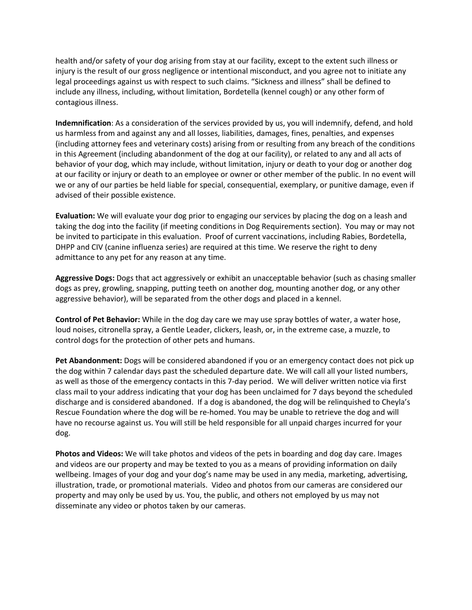health and/or safety of your dog arising from stay at our facility, except to the extent such illness or injury is the result of our gross negligence or intentional misconduct, and you agree not to initiate any legal proceedings against us with respect to such claims. "Sickness and illness" shall be defined to include any illness, including, without limitation, Bordetella (kennel cough) or any other form of contagious illness.

**Indemnification**: As a consideration of the services provided by us, you will indemnify, defend, and hold us harmless from and against any and all losses, liabilities, damages, fines, penalties, and expenses (including attorney fees and veterinary costs) arising from or resulting from any breach of the conditions in this Agreement (including abandonment of the dog at our facility), or related to any and all acts of behavior of your dog, which may include, without limitation, injury or death to your dog or another dog at our facility or injury or death to an employee or owner or other member of the public. In no event will we or any of our parties be held liable for special, consequential, exemplary, or punitive damage, even if advised of their possible existence.

**Evaluation:** We will evaluate your dog prior to engaging our services by placing the dog on a leash and taking the dog into the facility (if meeting conditions in Dog Requirements section). You may or may not be invited to participate in this evaluation. Proof of current vaccinations, including Rabies, Bordetella, DHPP and CIV (canine influenza series) are required at this time. We reserve the right to deny admittance to any pet for any reason at any time.

**Aggressive Dogs:** Dogs that act aggressively or exhibit an unacceptable behavior (such as chasing smaller dogs as prey, growling, snapping, putting teeth on another dog, mounting another dog, or any other aggressive behavior), will be separated from the other dogs and placed in a kennel.

**Control of Pet Behavior:** While in the dog day care we may use spray bottles of water, a water hose, loud noises, citronella spray, a Gentle Leader, clickers, leash, or, in the extreme case, a muzzle, to control dogs for the protection of other pets and humans.

**Pet Abandonment:** Dogs will be considered abandoned if you or an emergency contact does not pick up the dog within 7 calendar days past the scheduled departure date. We will call all your listed numbers, as well as those of the emergency contacts in this 7-day period. We will deliver written notice via first class mail to your address indicating that your dog has been unclaimed for 7 days beyond the scheduled discharge and is considered abandoned. If a dog is abandoned, the dog will be relinquished to Cheyla's Rescue Foundation where the dog will be re-homed. You may be unable to retrieve the dog and will have no recourse against us. You will still be held responsible for all unpaid charges incurred for your dog.

**Photos and Videos:** We will take photos and videos of the pets in boarding and dog day care. Images and videos are our property and may be texted to you as a means of providing information on daily wellbeing. Images of your dog and your dog's name may be used in any media, marketing, advertising, illustration, trade, or promotional materials. Video and photos from our cameras are considered our property and may only be used by us. You, the public, and others not employed by us may not disseminate any video or photos taken by our cameras.